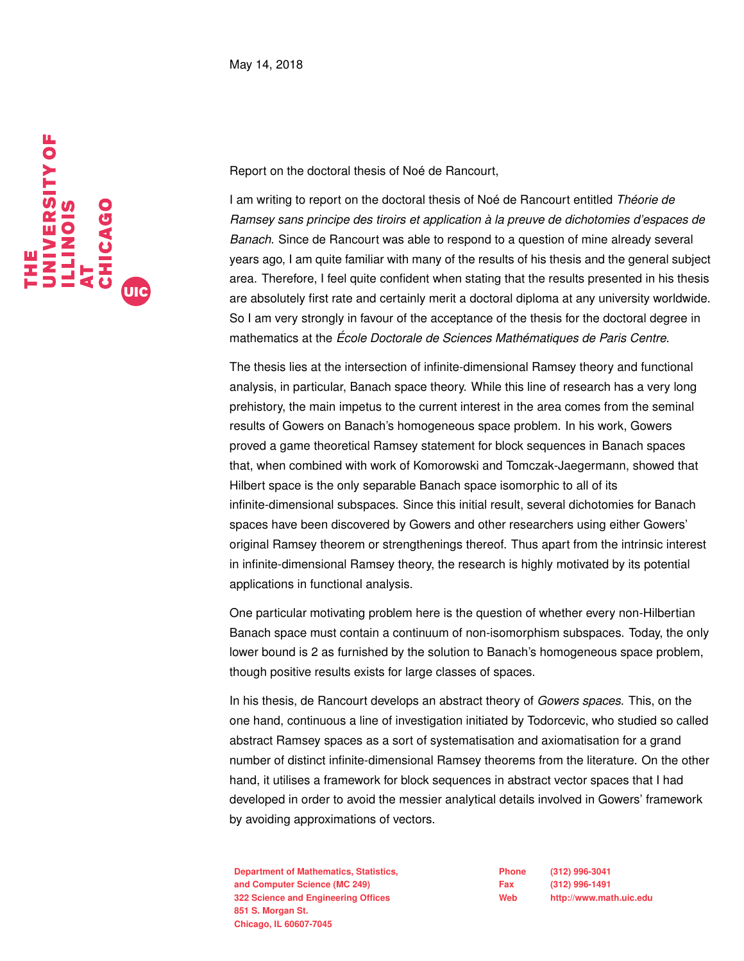

Report on the doctoral thesis of Noé de Rancourt,

I am writing to report on the doctoral thesis of Noé de Rancourt entitled *Théorie de Ramsey sans principe des tiroirs et application à la preuve de dichotomies d'espaces de Banach*. Since de Rancourt was able to respond to a question of mine already several years ago, I am quite familiar with many of the results of his thesis and the general subject area. Therefore, I feel quite confident when stating that the results presented in his thesis are absolutely first rate and certainly merit a doctoral diploma at any university worldwide. So I am very strongly in favour of the acceptance of the thesis for the doctoral degree in mathematics at the *École Doctorale de Sciences Mathématiques de Paris Centre*.

The thesis lies at the intersection of infinite-dimensional Ramsey theory and functional analysis, in particular, Banach space theory. While this line of research has a very long prehistory, the main impetus to the current interest in the area comes from the seminal results of Gowers on Banach's homogeneous space problem. In his work, Gowers proved a game theoretical Ramsey statement for block sequences in Banach spaces that, when combined with work of Komorowski and Tomczak-Jaegermann, showed that Hilbert space is the only separable Banach space isomorphic to all of its infinite-dimensional subspaces. Since this initial result, several dichotomies for Banach spaces have been discovered by Gowers and other researchers using either Gowers' original Ramsey theorem or strengthenings thereof. Thus apart from the intrinsic interest in infinite-dimensional Ramsey theory, the research is highly motivated by its potential applications in functional analysis.

One particular motivating problem here is the question of whether every non-Hilbertian Banach space must contain a continuum of non-isomorphism subspaces. Today, the only lower bound is 2 as furnished by the solution to Banach's homogeneous space problem, though positive results exists for large classes of spaces.

In his thesis, de Rancourt develops an abstract theory of *Gowers spaces*. This, on the one hand, continuous a line of investigation initiated by Todorcevic, who studied so called abstract Ramsey spaces as a sort of systematisation and axiomatisation for a grand number of distinct infinite-dimensional Ramsey theorems from the literature. On the other hand, it utilises a framework for block sequences in abstract vector spaces that I had developed in order to avoid the messier analytical details involved in Gowers' framework by avoiding approximations of vectors.

**Department of Mathematics, Statistics, Natural Statistics, Phone (312) 996-3041 and Computer Science (MC 249) Fax (312) 996-1491 322 Science and Engineering Offices Web http://www.math.uic.edu 851 S. Morgan St. Chicago, IL 60607-7045**